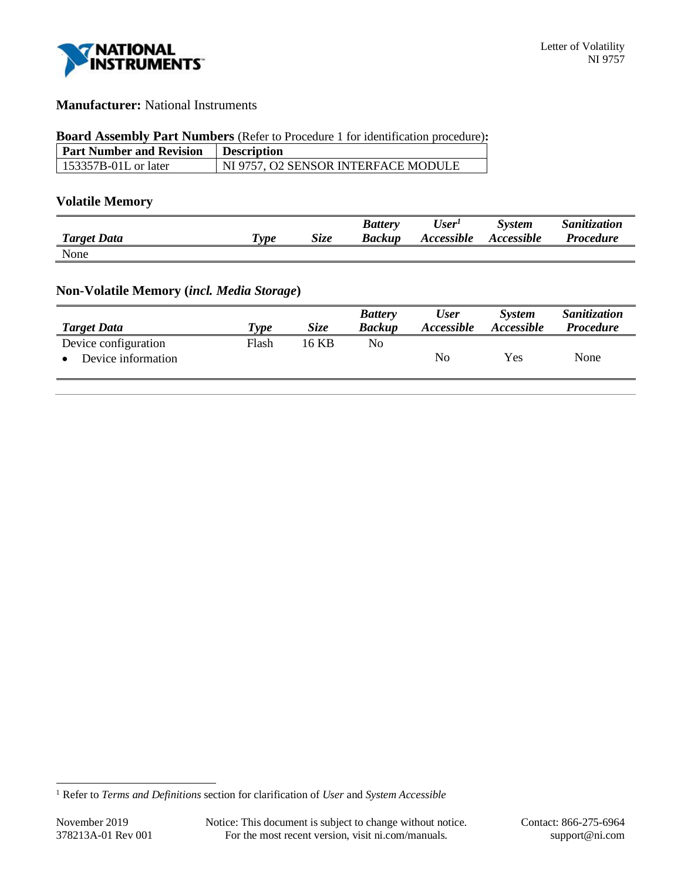

## **Manufacturer:** National Instruments

#### **Board Assembly Part Numbers** (Refer to Procedure 1 for identification procedure)**:**

| <b>Part Number and Revision</b> | <b>Description</b>                  |
|---------------------------------|-------------------------------------|
| $\vert$ 153357B-01L or later    | NI 9757, O2 SENSOR INTERFACE MODULE |

## **Volatile Memory**

|                    |                                    |             | <b>Battery</b> | $\boldsymbol{User^I}$ | <b>System</b>            | Sanitization     |
|--------------------|------------------------------------|-------------|----------------|-----------------------|--------------------------|------------------|
| <b>Target Data</b> | $\boldsymbol{\tau}_{\textit{ype}}$ | <b>Size</b> | Backup         | Accessible            | <i><b>Accessible</b></i> | <b>Procedure</b> |
| None               |                                    |             |                |                       |                          |                  |

# **Non-Volatile Memory (***incl. Media Storage***)**

|       |       | <b>Battery</b><br><b>Backup</b> | <b>User</b> | <i>System</i><br>Accessible | Sanitization<br><b>Procedure</b> |
|-------|-------|---------------------------------|-------------|-----------------------------|----------------------------------|
| Flash | 16 KB | No.                             |             |                             |                                  |
|       |       |                                 | No          | Yes                         | None                             |
|       | Type  | <i>Size</i>                     |             | Accessible                  |                                  |

<sup>1</sup> Refer to *Terms and Definitions* section for clarification of *User* and *System Accessible*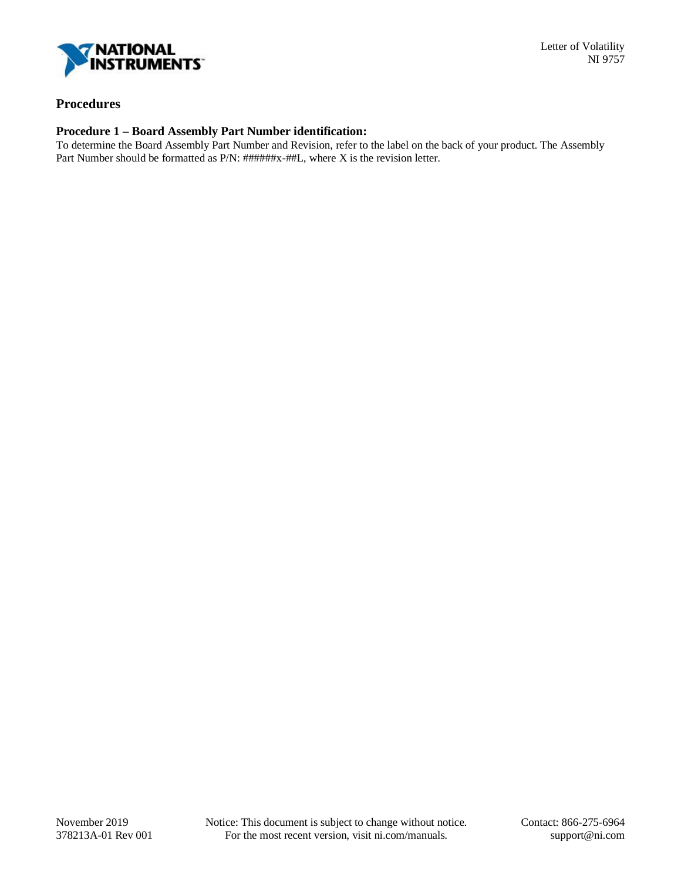

## **Procedures**

#### **Procedure 1 – Board Assembly Part Number identification:**

To determine the Board Assembly Part Number and Revision, refer to the label on the back of your product. The Assembly Part Number should be formatted as P/N: ######x-##L, where X is the revision letter.